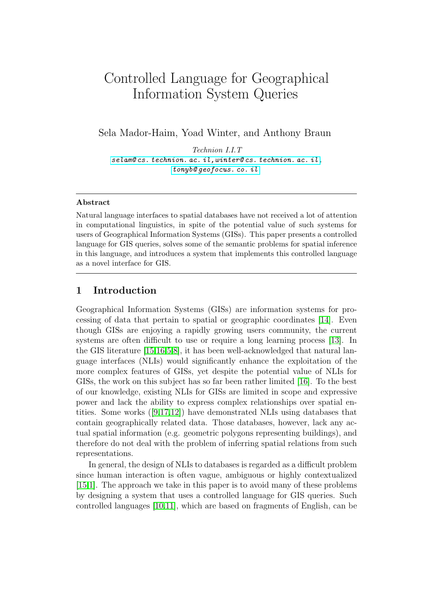# Controlled Language for Geographical Information System Queries

Sela Mador-Haim, Yoad Winter, and Anthony Braun

Technion I.I.T [selam@ cs. technion. ac. il,winter@ cs. technion. ac. il](selam@cs.technion.ac.il,winter@cs.technion.ac.il) , [tonyb@ geofocus. co. il](tonyb@geofocus.co.il)

#### Abstract

Natural language interfaces to spatial databases have not received a lot of attention in computational linguistics, in spite of the potential value of such systems for users of Geographical Information Systems (GISs). This paper presents a controlled language for GIS queries, solves some of the semantic problems for spatial inference in this language, and introduces a system that implements this controlled language as a novel interface for GIS.

## 1 Introduction

Geographical Information Systems (GISs) are information systems for processing of data that pertain to spatial or geographic coordinates [\[14\]](#page-9-0). Even though GISs are enjoying a rapidly growing users community, the current systems are often difficult to use or require a long learning process [\[13\]](#page-9-1). In the GIS literature [\[15,](#page-9-2)[16](#page-9-3)[,5,](#page-9-4)[8\]](#page-9-5), it has been well-acknowledged that natural language interfaces (NLIs) would significantly enhance the exploitation of the more complex features of GISs, yet despite the potential value of NLIs for GISs, the work on this subject has so far been rather limited [\[16\]](#page-9-3). To the best of our knowledge, existing NLIs for GISs are limited in scope and expressive power and lack the ability to express complex relationships over spatial entities. Some works  $([9,17,12])$  $([9,17,12])$  $([9,17,12])$  $([9,17,12])$  $([9,17,12])$  have demonstrated NLIs using databases that contain geographically related data. Those databases, however, lack any actual spatial information (e.g. geometric polygons representing buildings), and therefore do not deal with the problem of inferring spatial relations from such representations.

In general, the design of NLIs to databases is regarded as a difficult problem since human interaction is often vague, ambiguous or highly contextualized [\[15,](#page-9-2)[1\]](#page-9-9). The approach we take in this paper is to avoid many of these problems by designing a system that uses a controlled language for GIS queries. Such controlled languages [\[10,](#page-9-10)[11\]](#page-9-11), which are based on fragments of English, can be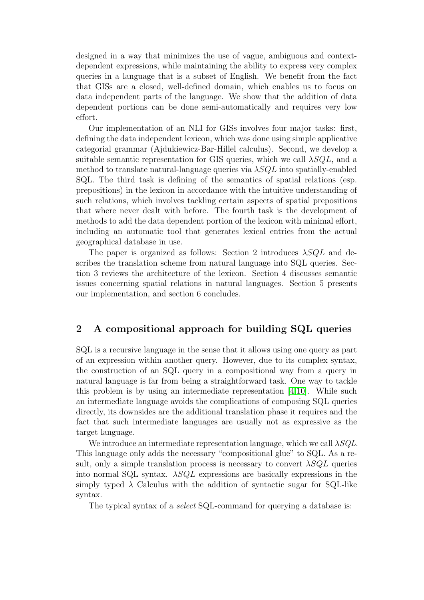designed in a way that minimizes the use of vague, ambiguous and contextdependent expressions, while maintaining the ability to express very complex queries in a language that is a subset of English. We benefit from the fact that GISs are a closed, well-defined domain, which enables us to focus on data independent parts of the language. We show that the addition of data dependent portions can be done semi-automatically and requires very low effort.

Our implementation of an NLI for GISs involves four major tasks: first, defining the data independent lexicon, which was done using simple applicative categorial grammar (Ajdukiewicz-Bar-Hillel calculus). Second, we develop a suitable semantic representation for GIS queries, which we call  $\lambda SQL$ , and a method to translate natural-language queries via  $\lambda SQL$  into spatially-enabled SQL. The third task is defining of the semantics of spatial relations (esp. prepositions) in the lexicon in accordance with the intuitive understanding of such relations, which involves tackling certain aspects of spatial prepositions that where never dealt with before. The fourth task is the development of methods to add the data dependent portion of the lexicon with minimal effort, including an automatic tool that generates lexical entries from the actual geographical database in use.

The paper is organized as follows: Section 2 introduces  $\lambda SQL$  and describes the translation scheme from natural language into SQL queries. Section 3 reviews the architecture of the lexicon. Section 4 discusses semantic issues concerning spatial relations in natural languages. Section 5 presents our implementation, and section 6 concludes.

# 2 A compositional approach for building SQL queries

SQL is a recursive language in the sense that it allows using one query as part of an expression within another query. However, due to its complex syntax, the construction of an SQL query in a compositional way from a query in natural language is far from being a straightforward task. One way to tackle this problem is by using an intermediate representation  $(4,10)$ . While such an intermediate language avoids the complications of composing SQL queries directly, its downsides are the additional translation phase it requires and the fact that such intermediate languages are usually not as expressive as the target language.

We introduce an intermediate representation language, which we call  $\lambda SQL$ . This language only adds the necessary "compositional glue" to SQL. As a result, only a simple translation process is necessary to convert  $\lambda SQL$  queries into normal SQL syntax.  $\lambda SQL$  expressions are basically expressions in the simply typed  $\lambda$  Calculus with the addition of syntactic sugar for SQL-like syntax.

The typical syntax of a *select* SQL-command for querying a database is: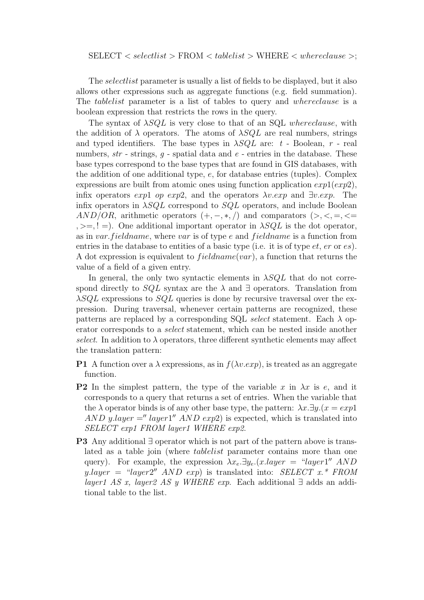The *selectlist* parameter is usually a list of fields to be displayed, but it also allows other expressions such as aggregate functions (e.g. field summation). The *tablelist* parameter is a list of tables to query and *whereclause* is a boolean expression that restricts the rows in the query.

The syntax of  $\lambda SQL$  is very close to that of an SQL whereclause, with the addition of  $\lambda$  operators. The atoms of  $\lambda SQL$  are real numbers, strings and typed identifiers. The base types in  $\lambda SQL$  are: t - Boolean, r - real numbers,  $str$  - strings,  $q$  - spatial data and  $e$  - entries in the database. These base types correspond to the base types that are found in GIS databases, with the addition of one additional type, e, for database entries (tuples). Complex expressions are built from atomic ones using function application  $exp1(exp2)$ , infix operators exp1 op exp2, and the operators  $\lambda v. exp$  and  $\exists v. exp$ . The infix operators in  $\lambda SQL$  correspond to  $SQL$  operators, and include Boolean  $AND/OR$ , arithmetic operators  $(+, -, *, /)$  and comparators  $(>, <, =, \leq)$  $, \geq, ! =$ ). One additional important operator in  $\lambda SQL$  is the dot operator, as in var. fieldname, where var is of type e and fieldname is a function from entries in the database to entities of a basic type (i.e. it is of type  $et$ ,  $er$  or  $es$ ). A dot expression is equivalent to  $field name(var)$ , a function that returns the value of a field of a given entry.

In general, the only two syntactic elements in  $\lambda SQL$  that do not correspond directly to  $SQL$  syntax are the  $\lambda$  and  $\exists$  operators. Translation from  $\lambda SQL$  expressions to  $SQL$  queries is done by recursive traversal over the expression. During traversal, whenever certain patterns are recognized, these patterns are replaced by a corresponding SQL select statement. Each  $\lambda$  operator corresponds to a select statement, which can be nested inside another select. In addition to  $\lambda$  operators, three different synthetic elements may affect the translation pattern:

- **P1** A function over a  $\lambda$  expressions, as in  $f(\lambda v.\exp)$ , is treated as an aggregate function.
- **P2** In the simplest pattern, the type of the variable x in  $\lambda x$  is e, and it corresponds to a query that returns a set of entries. When the variable that the  $\lambda$  operator binds is of any other base type, the pattern:  $\lambda x.\exists y.(x = exp1)$ AND y.layer =" layer1" AND exp2) is expected, which is translated into SELECT exp1 FROM layer1 WHERE exp2.
- P3 Any additional ∃ operator which is not part of the pattern above is translated as a table join (where tablelist parameter contains more than one query). For example, the expression  $\lambda x_e \exists y_e.(x \cdot layer = "layer1" AND$ y.layer = "layer2" AND exp) is translated into: SELECT  $x^*$  FROM layer1 AS x, layer2 AS y WHERE exp. Each additional  $\exists$  adds an additional table to the list.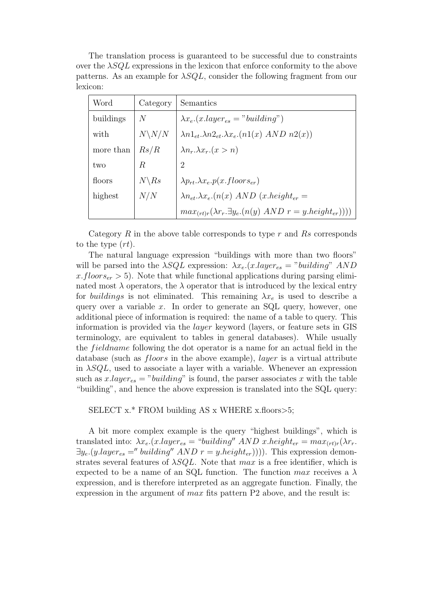The translation process is guaranteed to be successful due to constraints over the  $\lambda SQL$  expressions in the lexicon that enforce conformity to the above patterns. As an example for  $\lambda SQL$ , consider the following fragment from our lexicon:

| Word      | Category          | Semantics                                                               |
|-----------|-------------------|-------------------------------------------------------------------------|
| buildings | $\,N$             | $\lambda x_e.(x.layer_{es} = "building")$                               |
| with      | $N\backslash N/N$ | $\lambda n1_{et}.\lambda n2_{et}.\lambda x_{e}.(n1(x) \, AND \, n2(x))$ |
| more than | Rs/R              | $\lambda n_r \lambda x_r (x > n)$                                       |
| two       | R                 | $\overline{2}$                                                          |
| floors    | $N\backslash Rs$  | $\lambda p_{rt}.\lambda x_e.p(x$ . floors <sub>er</sub> )               |
| highest   | N/N               | $\lambda n_{et} \cdot \lambda x_{e} (n(x) \, AND \, (x. height_{er} =$  |
|           |                   | $max_{(rt)r}(\lambda r_r.\exists y_e.(n(y) AND r = y. height_{er}))))$  |

Category  $R$  in the above table corresponds to type  $r$  and  $Rs$  corresponds to the type (rt).

The natural language expression "buildings with more than two floors" will be parsed into the  $\lambda SQL$  expression:  $\lambda x_e$ . (x.layer<sub>es</sub> = "building" AND x.floors<sub>er</sub>  $> 5$ ). Note that while functional applications during parsing eliminated most  $\lambda$  operators, the  $\lambda$  operator that is introduced by the lexical entry for *buildings* is not eliminated. This remaining  $\lambda x_e$  is used to describe a query over a variable  $x$ . In order to generate an SQL query, however, one additional piece of information is required: the name of a table to query. This information is provided via the layer keyword (layers, or feature sets in GIS terminology, are equivalent to tables in general databases). While usually the *fieldname* following the dot operator is a name for an actual field in the database (such as *floors* in the above example), *layer* is a virtual attribute in  $\lambda SQL$ , used to associate a layer with a variable. Whenever an expression such as  $x \cdot layer_{es} = "building"$  is found, the parser associates x with the table "building", and hence the above expression is translated into the SQL query:

SELECT x.\* FROM building AS x WHERE x.floors>5;

A bit more complex example is the query "highest buildings", which is translated into:  $\lambda x_e$ .(x.layer<sub>es</sub> = "building" AND x.height<sub>er</sub> =  $max_{(rt)r}(\lambda r_r)$ .  $\exists y_e.(y.layer_{es} = "building" AND r = y. height_{er})))$ . This expression demonstrates several features of  $\lambda SQL$ . Note that max is a free identifier, which is expected to be a name of an SQL function. The function  $max$  receives a  $\lambda$ expression, and is therefore interpreted as an aggregate function. Finally, the expression in the argument of  $max$  fits pattern P2 above, and the result is: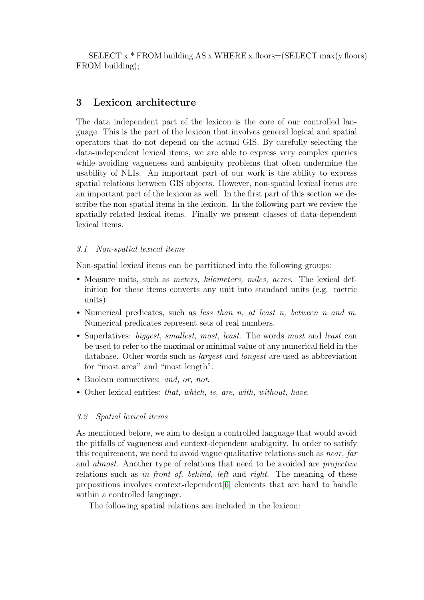SELECT x.\* FROM building AS x WHERE x.floors=(SELECT max(y.floors) FROM building);

# 3 Lexicon architecture

The data independent part of the lexicon is the core of our controlled language. This is the part of the lexicon that involves general logical and spatial operators that do not depend on the actual GIS. By carefully selecting the data-independent lexical items, we are able to express very complex queries while avoiding vagueness and ambiguity problems that often undermine the usability of NLIs. An important part of our work is the ability to express spatial relations between GIS objects. However, non-spatial lexical items are an important part of the lexicon as well. In the first part of this section we describe the non-spatial items in the lexicon. In the following part we review the spatially-related lexical items. Finally we present classes of data-dependent lexical items.

## 3.1 Non-spatial lexical items

Non-spatial lexical items can be partitioned into the following groups:

- Measure units, such as *meters, kilometers, miles, acres*. The lexical definition for these items converts any unit into standard units (e.g. metric units).
- Numerical predicates, such as less than n, at least n, between n and m. Numerical predicates represent sets of real numbers.
- Superlatives: *biggest, smallest, most, least*. The words most and *least* can be used to refer to the maximal or minimal value of any numerical field in the database. Other words such as largest and longest are used as abbreviation for "most area" and "most length".
- Boolean connectives: and, or, not.
- Other lexical entries: that, which, is, are, with, without, have.

# 3.2 Spatial lexical items

As mentioned before, we aim to design a controlled language that would avoid the pitfalls of vagueness and context-dependent ambiguity. In order to satisfy this requirement, we need to avoid vague qualitative relations such as *near*, far and *almost*. Another type of relations that need to be avoided are *projective* relations such as in front of, behind, left and right. The meaning of these prepositions involves context-dependent[\[6\]](#page-9-13) elements that are hard to handle within a controlled language.

The following spatial relations are included in the lexicon: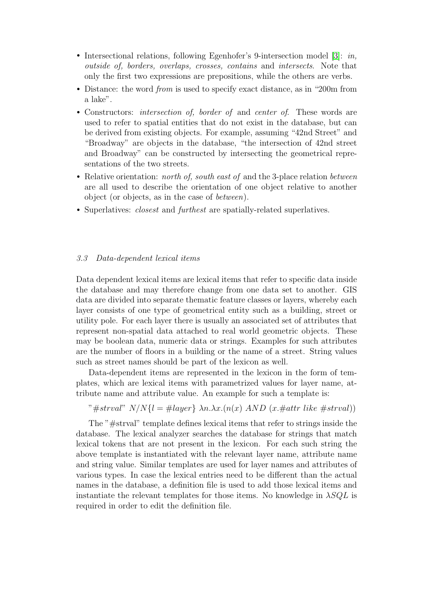- Intersectional relations, following Egenhofer's 9-intersection model [\[3\]](#page-9-14): *in*, outside of, borders, overlaps, crosses, contains and intersects. Note that only the first two expressions are prepositions, while the others are verbs.
- Distance: the word *from* is used to specify exact distance, as in "200m from a lake".
- Constructors: *intersection of, border of* and *center of*. These words are used to refer to spatial entities that do not exist in the database, but can be derived from existing objects. For example, assuming "42nd Street" and "Broadway" are objects in the database, "the intersection of 42nd street and Broadway" can be constructed by intersecting the geometrical representations of the two streets.
- Relative orientation: *north of, south east of* and the 3-place relation *between* are all used to describe the orientation of one object relative to another object (or objects, as in the case of between).
- Superlatives: *closest* and *furthest* are spatially-related superlatives.

#### 3.3 Data-dependent lexical items

Data dependent lexical items are lexical items that refer to specific data inside the database and may therefore change from one data set to another. GIS data are divided into separate thematic feature classes or layers, whereby each layer consists of one type of geometrical entity such as a building, street or utility pole. For each layer there is usually an associated set of attributes that represent non-spatial data attached to real world geometric objects. These may be boolean data, numeric data or strings. Examples for such attributes are the number of floors in a building or the name of a street. String values such as street names should be part of the lexicon as well.

Data-dependent items are represented in the lexicon in the form of templates, which are lexical items with parametrized values for layer name, attribute name and attribute value. An example for such a template is:

"#strval"  $N/N\{l = \text{\#layer}\}\$   $\lambda n.\lambda x.(n(x) \text{ AND } (x.\text{\#attr like } \text{\#strval}))$ 

The "#strval" template defines lexical items that refer to strings inside the database. The lexical analyzer searches the database for strings that match lexical tokens that are not present in the lexicon. For each such string the above template is instantiated with the relevant layer name, attribute name and string value. Similar templates are used for layer names and attributes of various types. In case the lexical entries need to be different than the actual names in the database, a definition file is used to add those lexical items and instantiate the relevant templates for those items. No knowledge in  $\lambda SQL$  is required in order to edit the definition file.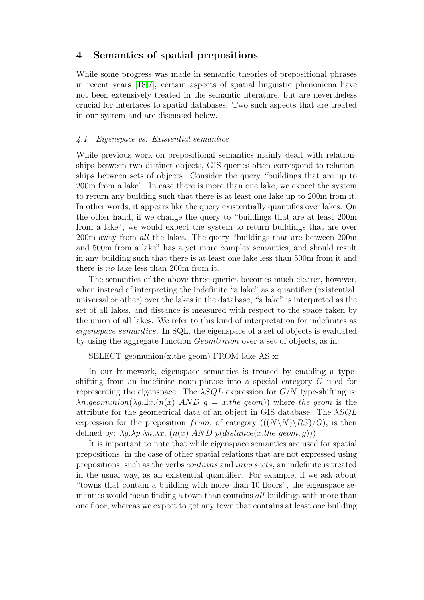# 4 Semantics of spatial prepositions

While some progress was made in semantic theories of prepositional phrases in recent years [\[18,](#page-9-15)[7\]](#page-9-16), certain aspects of spatial linguistic phenomena have not been extensively treated in the semantic literature, but are nevertheless crucial for interfaces to spatial databases. Two such aspects that are treated in our system and are discussed below.

#### 4.1 Eigenspace vs. Existential semantics

While previous work on prepositional semantics mainly dealt with relationships between two distinct objects, GIS queries often correspond to relationships between sets of objects. Consider the query "buildings that are up to 200m from a lake". In case there is more than one lake, we expect the system to return any building such that there is at least one lake up to 200m from it. In other words, it appears like the query existentially quantifies over lakes. On the other hand, if we change the query to "buildings that are at least 200m from a lake", we would expect the system to return buildings that are over 200m away from all the lakes. The query "buildings that are between 200m and 500m from a lake" has a yet more complex semantics, and should result in any building such that there is at least one lake less than 500m from it and there is no lake less than 200m from it.

The semantics of the above three queries becomes much clearer, however, when instead of interpreting the indefinite "a lake" as a quantifier (existential, universal or other) over the lakes in the database, "a lake" is interpreted as the set of all lakes, and distance is measured with respect to the space taken by the union of all lakes. We refer to this kind of interpretation for indefinites as eigenspace semantics. In SQL, the eigenspace of a set of objects is evaluated by using the aggregate function *GeomUnion* over a set of objects, as in:

SELECT geomunion(x.the\_geom) FROM lake AS x;

In our framework, eigenspace semantics is treated by enabling a typeshifting from an indefinite noun-phrase into a special category G used for representing the eigenspace. The  $\lambda SQL$  expression for  $G/N$  type-shifting is:  $\lambda n. q$ *eomunion*( $\lambda q.\exists x.(n(x) \, AND \, q = x.$ *the qeom*)) where the *qeom* is the attribute for the geometrical data of an object in GIS database. The  $\lambda SQL$ expression for the preposition from, of category  $((N\N) \R)$   $(R)$ , is then defined by:  $\lambda q.\lambda p.\lambda n.\lambda x.$   $(n(x)$  AND  $p(distance(x, the\text{--}geom, q))$ .

It is important to note that while eigenspace semantics are used for spatial prepositions, in the case of other spatial relations that are not expressed using prepositions, such as the verbs contains and intersects, an indefinite is treated in the usual way, as an existential quantifier. For example, if we ask about "towns that contain a building with more than 10 floors", the eigenspace semantics would mean finding a town than contains all buildings with more than one floor, whereas we expect to get any town that contains at least one building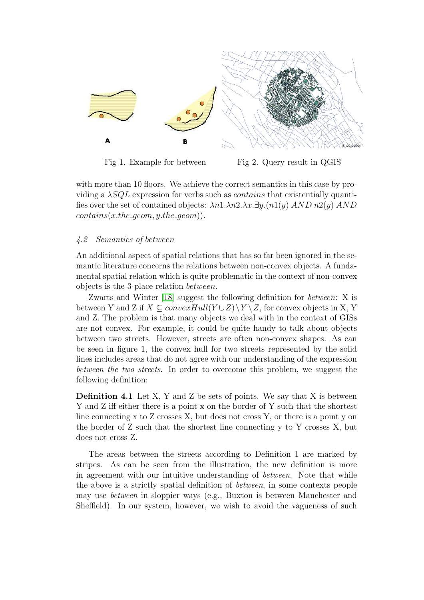

Fig 1. Example for between Fig 2. Query result in QGIS

with more than 10 floors. We achieve the correct semantics in this case by providing a  $\lambda SQL$  expression for verbs such as *contains* that existentially quantifies over the set of contained objects:  $\lambda n1.\lambda n2.\lambda x.\exists y.(n1(y) \,AND\, n2(y) \,AND)$  $contains(x, the\text{--}geom, y, the\text{--}geom).$ 

#### 4.2 Semantics of between

An additional aspect of spatial relations that has so far been ignored in the semantic literature concerns the relations between non-convex objects. A fundamental spatial relation which is quite problematic in the context of non-convex objects is the 3-place relation between.

Zwarts and Winter [\[18\]](#page-9-15) suggest the following definition for between: X is between Y and Z if  $X \subseteq convexHull(Y \cup Z) \backslash Y \backslash Z$ , for convex objects in X, Y and Z. The problem is that many objects we deal with in the context of GISs are not convex. For example, it could be quite handy to talk about objects between two streets. However, streets are often non-convex shapes. As can be seen in figure 1, the convex hull for two streets represented by the solid lines includes areas that do not agree with our understanding of the expression between the two streets. In order to overcome this problem, we suggest the following definition:

**Definition 4.1** Let X, Y and Z be sets of points. We say that X is between Y and Z iff either there is a point x on the border of Y such that the shortest line connecting x to Z crosses X, but does not cross Y, or there is a point y on the border of Z such that the shortest line connecting y to Y crosses X, but does not cross Z.

The areas between the streets according to Definition 1 are marked by stripes. As can be seen from the illustration, the new definition is more in agreement with our intuitive understanding of between. Note that while the above is a strictly spatial definition of between, in some contexts people may use between in sloppier ways (e.g., Buxton is between Manchester and Sheffield). In our system, however, we wish to avoid the vagueness of such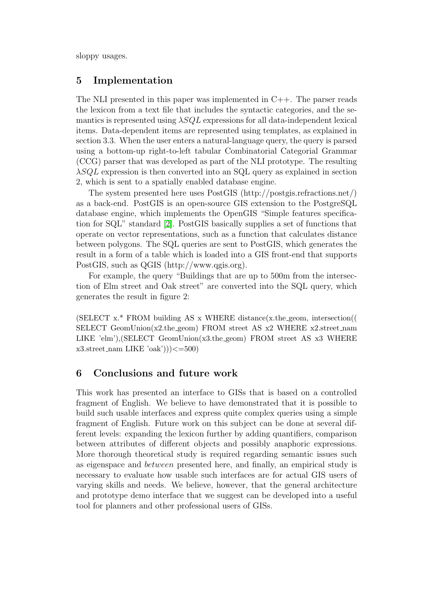sloppy usages.

# 5 Implementation

The NLI presented in this paper was implemented in  $C_{++}$ . The parser reads the lexicon from a text file that includes the syntactic categories, and the semantics is represented using  $\lambda SQL$  expressions for all data-independent lexical items. Data-dependent items are represented using templates, as explained in section 3.3. When the user enters a natural-language query, the query is parsed using a bottom-up right-to-left tabular Combinatorial Categorial Grammar (CCG) parser that was developed as part of the NLI prototype. The resulting  $\lambda SQL$  expression is then converted into an SQL query as explained in section 2, which is sent to a spatially enabled database engine.

The system presented here uses PostGIS (http://postgis.refractions.net/) as a back-end. PostGIS is an open-source GIS extension to the PostgreSQL database engine, which implements the OpenGIS "Simple features specification for SQL" standard [\[2\]](#page-9-17). PostGIS basically supplies a set of functions that operate on vector representations, such as a function that calculates distance between polygons. The SQL queries are sent to PostGIS, which generates the result in a form of a table which is loaded into a GIS front-end that supports PostGIS, such as QGIS (http://www.qgis.org).

For example, the query "Buildings that are up to 500m from the intersection of Elm street and Oak street" are converted into the SQL query, which generates the result in figure 2:

(SELECT  $x.*$  FROM building AS  $x$  WHERE distance( $x$ .the geom, intersection(( SELECT GeomUnion(x2.the geom) FROM street AS  $x2$  WHERE  $x2$  street nam LIKE 'elm'),(SELECT GeomUnion(x3.the geom) FROM street AS x3 WHERE  $x3.street_name$  LIKE 'oak'))) $\leq=500$ 

# 6 Conclusions and future work

This work has presented an interface to GISs that is based on a controlled fragment of English. We believe to have demonstrated that it is possible to build such usable interfaces and express quite complex queries using a simple fragment of English. Future work on this subject can be done at several different levels: expanding the lexicon further by adding quantifiers, comparison between attributes of different objects and possibly anaphoric expressions. More thorough theoretical study is required regarding semantic issues such as eigenspace and between presented here, and finally, an empirical study is necessary to evaluate how usable such interfaces are for actual GIS users of varying skills and needs. We believe, however, that the general architecture and prototype demo interface that we suggest can be developed into a useful tool for planners and other professional users of GISs.